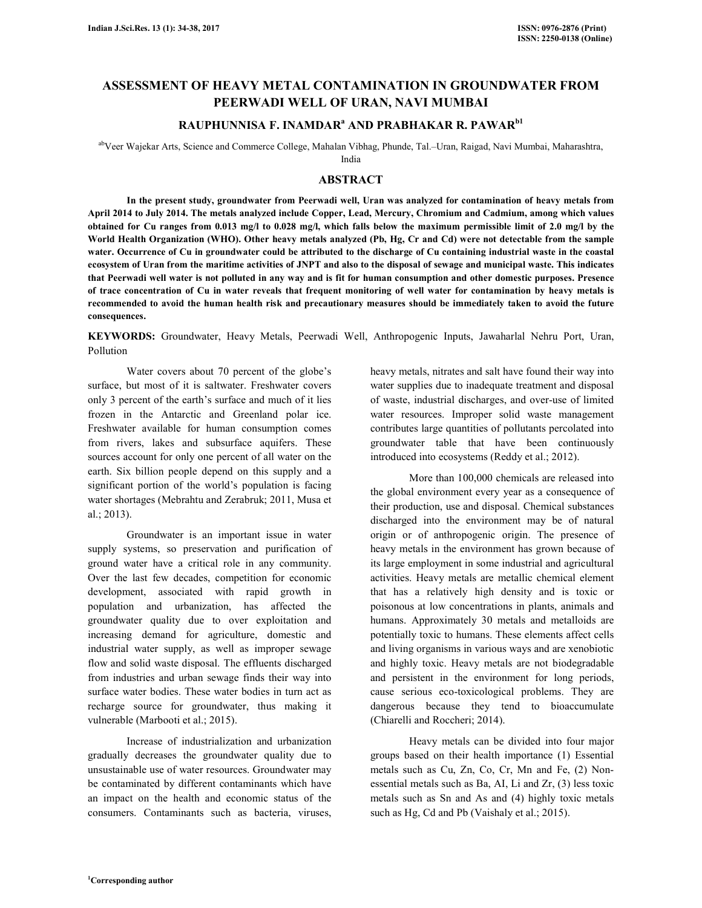# **ASSESSMENT OF HEAVY METAL CONTAMINATION IN GROUNDWATER FROM PEERWADI WELL OF URAN, NAVI MUMBAI**

## **RAUPHUNNISA F. INAMDAR<sup>a</sup> AND PRABHAKAR R. PAWARb1**

abVeer Wajekar Arts, Science and Commerce College, Mahalan Vibhag, Phunde, Tal.–Uran, Raigad, Navi Mumbai, Maharashtra,

India

## **ABSTRACT**

**In the present study, groundwater from Peerwadi well, Uran was analyzed for contamination of heavy metals from April 2014 to July 2014. The metals analyzed include Copper, Lead, Mercury, Chromium and Cadmium, among which values obtained for Cu ranges from 0.013 mg/l to 0.028 mg/l, which falls below the maximum permissible limit of 2.0 mg/l by the World Health Organization (WHO). Other heavy metals analyzed (Pb, Hg, Cr and Cd) were not detectable from the sample water. Occurrence of Cu in groundwater could be attributed to the discharge of Cu containing industrial waste in the coastal ecosystem of Uran from the maritime activities of JNPT and also to the disposal of sewage and municipal waste. This indicates that Peerwadi well water is not polluted in any way and is fit for human consumption and other domestic purposes. Presence of trace concentration of Cu in water reveals that frequent monitoring of well water for contamination by heavy metals is recommended to avoid the human health risk and precautionary measures should be immediately taken to avoid the future consequences.** 

**KEYWORDS:** Groundwater, Heavy Metals, Peerwadi Well, Anthropogenic Inputs, Jawaharlal Nehru Port, Uran, Pollution

Water covers about 70 percent of the globe's surface, but most of it is saltwater. Freshwater covers only 3 percent of the earth's surface and much of it lies frozen in the Antarctic and Greenland polar ice. Freshwater available for human consumption comes from rivers, lakes and subsurface aquifers. These sources account for only one percent of all water on the earth. Six billion people depend on this supply and a significant portion of the world's population is facing water shortages (Mebrahtu and Zerabruk; 2011, Musa et al.; 2013).

Groundwater is an important issue in water supply systems, so preservation and purification of ground water have a critical role in any community. Over the last few decades, competition for economic development, associated with rapid growth in population and urbanization, has affected the groundwater quality due to over exploitation and increasing demand for agriculture, domestic and industrial water supply, as well as improper sewage flow and solid waste disposal. The effluents discharged from industries and urban sewage finds their way into surface water bodies. These water bodies in turn act as recharge source for groundwater, thus making it vulnerable (Marbooti et al.; 2015).

Increase of industrialization and urbanization gradually decreases the groundwater quality due to unsustainable use of water resources. Groundwater may be contaminated by different contaminants which have an impact on the health and economic status of the consumers. Contaminants such as bacteria, viruses,

heavy metals, nitrates and salt have found their way into water supplies due to inadequate treatment and disposal of waste, industrial discharges, and over-use of limited water resources. Improper solid waste management contributes large quantities of pollutants percolated into groundwater table that have been continuously introduced into ecosystems (Reddy et al.; 2012).

More than 100,000 chemicals are released into the global environment every year as a consequence of their production, use and disposal. Chemical substances discharged into the environment may be of natural origin or of anthropogenic origin. The presence of heavy metals in the environment has grown because of its large employment in some industrial and agricultural activities. Heavy metals are metallic chemical element that has a relatively high density and is toxic or poisonous at low concentrations in plants, animals and humans. Approximately 30 metals and metalloids are potentially toxic to humans. These elements affect cells and living organisms in various ways and are xenobiotic and highly toxic. Heavy metals are not biodegradable and persistent in the environment for long periods, cause serious eco-toxicological problems. They are dangerous because they tend to bioaccumulate (Chiarelli and Roccheri; 2014).

Heavy metals can be divided into four major groups based on their health importance (1) Essential metals such as Cu, Zn, Co, Cr, Mn and Fe, (2) Nonessential metals such as Ba, AI, Li and Zr, (3) less toxic metals such as Sn and As and (4) highly toxic metals such as Hg, Cd and Pb (Vaishaly et al.; 2015).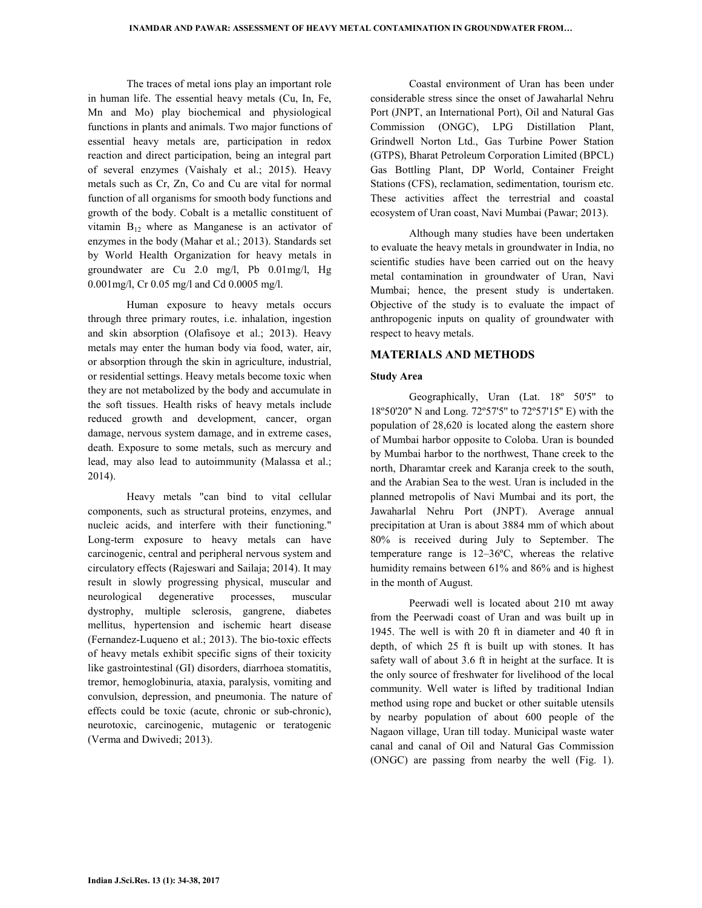The traces of metal ions play an important role in human life. The essential heavy metals (Cu, In, Fe, Mn and Mo) play biochemical and physiological functions in plants and animals. Two major functions of essential heavy metals are, participation in redox reaction and direct participation, being an integral part of several enzymes (Vaishaly et al.; 2015). Heavy metals such as Cr, Zn, Co and Cu are vital for normal function of all organisms for smooth body functions and growth of the body. Cobalt is a metallic constituent of vitamin  $B_{12}$  where as Manganese is an activator of enzymes in the body (Mahar et al.; 2013). Standards set by World Health Organization for heavy metals in groundwater are Cu 2.0 mg/l, Pb 0.01mg/l, Hg 0.001mg/l, Cr 0.05 mg/l and Cd 0.0005 mg/l.

Human exposure to heavy metals occurs through three primary routes, i.e. inhalation, ingestion and skin absorption (Olafisoye et al.; 2013). Heavy metals may enter the human body via food, water, air, or absorption through the skin in agriculture, industrial, or residential settings. Heavy metals become toxic when they are not metabolized by the body and accumulate in the soft tissues. Health risks of heavy metals include reduced growth and development, cancer, organ damage, nervous system damage, and in extreme cases, death. Exposure to some metals, such as mercury and lead, may also lead to autoimmunity (Malassa et al.; 2014).

Heavy metals "can bind to vital cellular components, such as structural proteins, enzymes, and nucleic acids, and interfere with their functioning." Long-term exposure to heavy metals can have carcinogenic, central and peripheral nervous system and circulatory effects (Rajeswari and Sailaja; 2014). It may result in slowly progressing physical, muscular and neurological degenerative processes, muscular dystrophy, multiple sclerosis, gangrene, diabetes mellitus, hypertension and ischemic heart disease (Fernandez-Luqueno et al.; 2013). The bio-toxic effects of heavy metals exhibit specific signs of their toxicity like gastrointestinal (GI) disorders, diarrhoea stomatitis, tremor, hemoglobinuria, ataxia, paralysis, vomiting and convulsion, depression, and pneumonia. The nature of effects could be toxic (acute, chronic or sub-chronic), neurotoxic, carcinogenic, mutagenic or teratogenic (Verma and Dwivedi; 2013).

Coastal environment of Uran has been under considerable stress since the onset of Jawaharlal Nehru Port (JNPT, an International Port), Oil and Natural Gas Commission (ONGC), LPG Distillation Plant, Grindwell Norton Ltd., Gas Turbine Power Station (GTPS), Bharat Petroleum Corporation Limited (BPCL) Gas Bottling Plant, DP World, Container Freight Stations (CFS), reclamation, sedimentation, tourism etc. These activities affect the terrestrial and coastal ecosystem of Uran coast, Navi Mumbai (Pawar; 2013).

Although many studies have been undertaken to evaluate the heavy metals in groundwater in India, no scientific studies have been carried out on the heavy metal contamination in groundwater of Uran, Navi Mumbai; hence, the present study is undertaken. Objective of the study is to evaluate the impact of anthropogenic inputs on quality of groundwater with respect to heavy metals.

## **MATERIALS AND METHODS**

#### **Study Area**

Geographically, Uran (Lat. 18º 50'5'' to 18º50'20'' N and Long. 72º57'5'' to 72º57'15'' E) with the population of 28,620 is located along the eastern shore of Mumbai harbor opposite to Coloba. Uran is bounded by Mumbai harbor to the northwest, Thane creek to the north, Dharamtar creek and Karanja creek to the south, and the Arabian Sea to the west. Uran is included in the planned metropolis of Navi Mumbai and its port, the Jawaharlal Nehru Port (JNPT). Average annual precipitation at Uran is about 3884 mm of which about 80% is received during July to September. The temperature range is 12–36ºC, whereas the relative humidity remains between 61% and 86% and is highest in the month of August.

Peerwadi well is located about 210 mt away from the Peerwadi coast of Uran and was built up in 1945. The well is with 20 ft in diameter and 40 ft in depth, of which 25 ft is built up with stones. It has safety wall of about 3.6 ft in height at the surface. It is the only source of freshwater for livelihood of the local community. Well water is lifted by traditional Indian method using rope and bucket or other suitable utensils by nearby population of about 600 people of the Nagaon village, Uran till today. Municipal waste water canal and canal of Oil and Natural Gas Commission (ONGC) are passing from nearby the well (Fig. 1).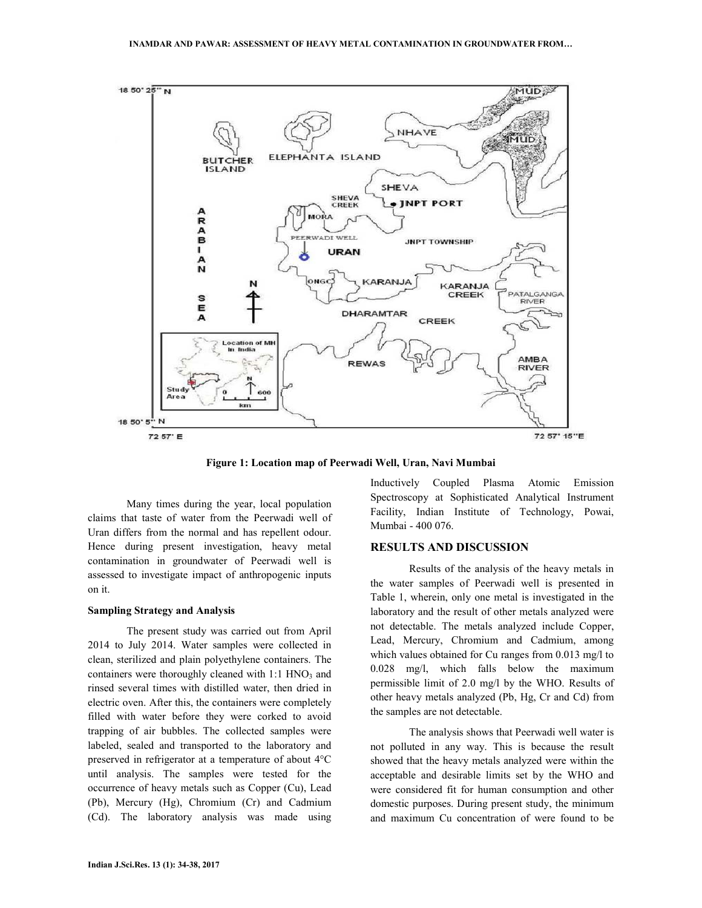

**Figure 1: Location map of Peerwadi Well, Uran, Navi Mumbai**

Many times during the year, local population claims that taste of water from the Peerwadi well of Uran differs from the normal and has repellent odour. Hence during present investigation, heavy metal contamination in groundwater of Peerwadi well is assessed to investigate impact of anthropogenic inputs on it.

#### **Sampling Strategy and Analysis**

The present study was carried out from April 2014 to July 2014. Water samples were collected in clean, sterilized and plain polyethylene containers. The containers were thoroughly cleaned with  $1:1$  HNO<sub>3</sub> and rinsed several times with distilled water, then dried in electric oven. After this, the containers were completely filled with water before they were corked to avoid trapping of air bubbles. The collected samples were labeled, sealed and transported to the laboratory and preserved in refrigerator at a temperature of about 4°C until analysis. The samples were tested for the occurrence of heavy metals such as Copper (Cu), Lead (Pb), Mercury (Hg), Chromium (Cr) and Cadmium (Cd). The laboratory analysis was made using Inductively Coupled Plasma Atomic Emission Spectroscopy at Sophisticated Analytical Instrument Facility, Indian Institute of Technology, Powai, Mumbai - 400 076.

## **RESULTS AND DISCUSSION**

Results of the analysis of the heavy metals in the water samples of Peerwadi well is presented in Table 1, wherein, only one metal is investigated in the laboratory and the result of other metals analyzed were not detectable. The metals analyzed include Copper, Lead, Mercury, Chromium and Cadmium, among which values obtained for Cu ranges from 0.013 mg/l to 0.028 mg/l, which falls below the maximum permissible limit of 2.0 mg/l by the WHO. Results of other heavy metals analyzed (Pb, Hg, Cr and Cd) from the samples are not detectable.

The analysis shows that Peerwadi well water is not polluted in any way. This is because the result showed that the heavy metals analyzed were within the acceptable and desirable limits set by the WHO and were considered fit for human consumption and other domestic purposes. During present study, the minimum and maximum Cu concentration of were found to be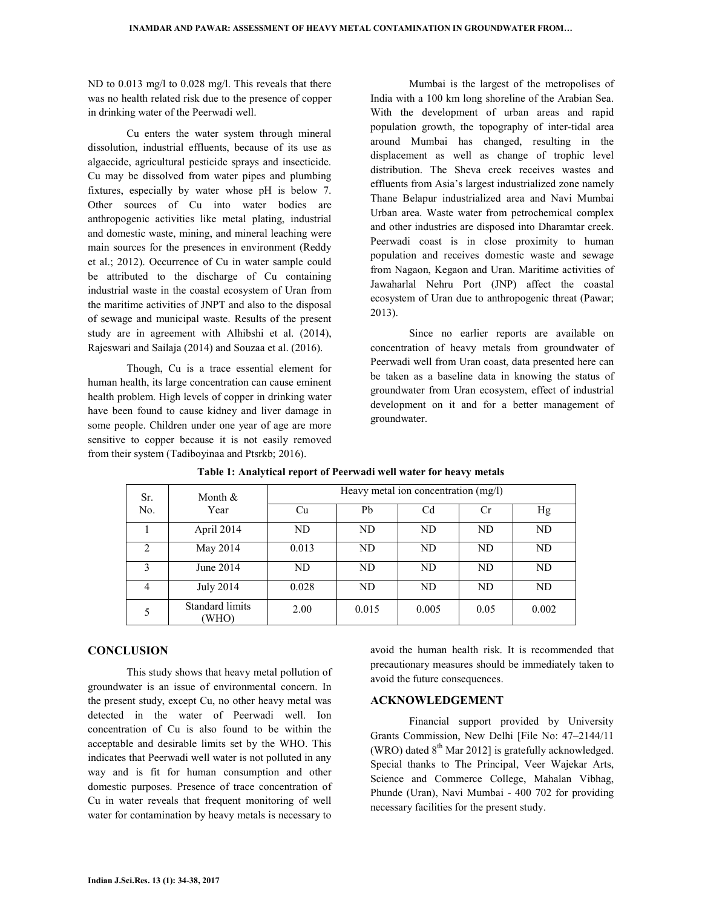ND to 0.013 mg/l to 0.028 mg/l. This reveals that there was no health related risk due to the presence of copper in drinking water of the Peerwadi well.

Cu enters the water system through mineral dissolution, industrial effluents, because of its use as algaecide, agricultural pesticide sprays and insecticide. Cu may be dissolved from water pipes and plumbing fixtures, especially by water whose pH is below 7. Other sources of Cu into water bodies are anthropogenic activities like metal plating, industrial and domestic waste, mining, and mineral leaching were main sources for the presences in environment (Reddy et al.; 2012). Occurrence of Cu in water sample could be attributed to the discharge of Cu containing industrial waste in the coastal ecosystem of Uran from the maritime activities of JNPT and also to the disposal of sewage and municipal waste. Results of the present study are in agreement with Alhibshi et al. (2014), Rajeswari and Sailaja (2014) and Souzaa et al. (2016).

Though, Cu is a trace essential element for human health, its large concentration can cause eminent health problem. High levels of copper in drinking water have been found to cause kidney and liver damage in some people. Children under one year of age are more sensitive to copper because it is not easily removed from their system (Tadiboyinaa and Ptsrkb; 2016).

Mumbai is the largest of the metropolises of India with a 100 km long shoreline of the Arabian Sea. With the development of urban areas and rapid population growth, the topography of inter-tidal area around Mumbai has changed, resulting in the displacement as well as change of trophic level distribution. The Sheva creek receives wastes and effluents from Asia's largest industrialized zone namely Thane Belapur industrialized area and Navi Mumbai Urban area. Waste water from petrochemical complex and other industries are disposed into Dharamtar creek. Peerwadi coast is in close proximity to human population and receives domestic waste and sewage from Nagaon, Kegaon and Uran. Maritime activities of Jawaharlal Nehru Port (JNP) affect the coastal ecosystem of Uran due to anthropogenic threat (Pawar; 2013).

Since no earlier reports are available on concentration of heavy metals from groundwater of Peerwadi well from Uran coast, data presented here can be taken as a baseline data in knowing the status of groundwater from Uran ecosystem, effect of industrial development on it and for a better management of groundwater.

| Sr.<br>No.     | Month $&$<br>Year               | Heavy metal ion concentration (mg/l) |       |       |      |       |
|----------------|---------------------------------|--------------------------------------|-------|-------|------|-------|
|                |                                 | Cu                                   | Pb    | Cd    | Сr   | Hg    |
|                | April 2014                      | ND                                   | ND    | ND    | ND.  | ND    |
| $\mathfrak{D}$ | May 2014                        | 0.013                                | ND    | ND    | ND   | ND    |
| 3              | June $2014$                     | ND                                   | ND.   | ND    | ND.  | ND    |
| 4              | <b>July 2014</b>                | 0.028                                | ND.   | ND    | ND.  | ND    |
|                | <b>Standard limits</b><br>(WHO) | 2.00                                 | 0.015 | 0.005 | 0.05 | 0.002 |

**Table 1: Analytical report of Peerwadi well water for heavy metals** 

## **CONCLUSION**

 This study shows that heavy metal pollution of groundwater is an issue of environmental concern. In the present study, except Cu, no other heavy metal was detected in the water of Peerwadi well. Ion concentration of Cu is also found to be within the acceptable and desirable limits set by the WHO. This indicates that Peerwadi well water is not polluted in any way and is fit for human consumption and other domestic purposes. Presence of trace concentration of Cu in water reveals that frequent monitoring of well water for contamination by heavy metals is necessary to

avoid the human health risk. It is recommended that precautionary measures should be immediately taken to avoid the future consequences.

## **ACKNOWLEDGEMENT**

Financial support provided by University Grants Commission, New Delhi [File No: 47–2144/11 (WRO) dated  $8<sup>th</sup>$  Mar 2012] is gratefully acknowledged. Special thanks to The Principal, Veer Wajekar Arts, Science and Commerce College, Mahalan Vibhag, Phunde (Uran), Navi Mumbai - 400 702 for providing necessary facilities for the present study.